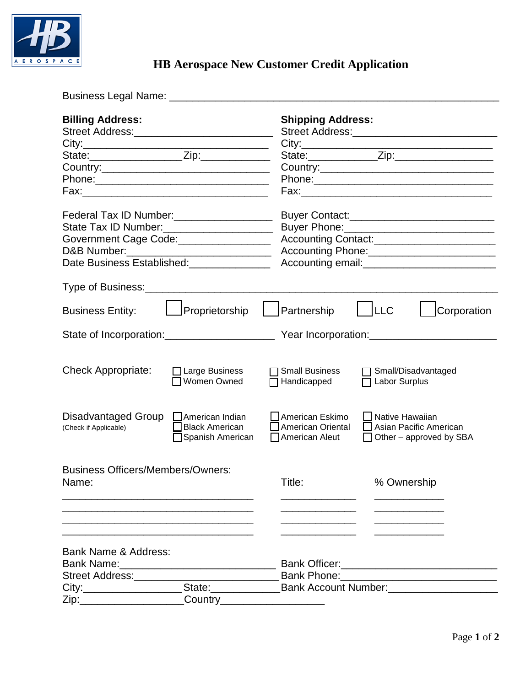

Business Legal Name: \_\_\_\_\_\_\_\_\_\_\_\_\_\_\_\_\_\_\_\_\_\_\_\_\_\_\_\_\_\_\_\_\_\_\_\_\_\_\_\_\_\_\_\_\_\_\_\_\_\_\_\_\_\_\_\_\_

| <b>Billing Address:</b>                                                                             |                                                              |                                                | <b>Shipping Address:</b>                                                                                      |                                             |                                                                                           |  |  |
|-----------------------------------------------------------------------------------------------------|--------------------------------------------------------------|------------------------------------------------|---------------------------------------------------------------------------------------------------------------|---------------------------------------------|-------------------------------------------------------------------------------------------|--|--|
|                                                                                                     |                                                              |                                                |                                                                                                               |                                             | the control of the control of the control of the control of the control of the control of |  |  |
|                                                                                                     |                                                              |                                                |                                                                                                               |                                             |                                                                                           |  |  |
|                                                                                                     |                                                              |                                                |                                                                                                               |                                             |                                                                                           |  |  |
|                                                                                                     |                                                              |                                                | Phone: 2008 2010 2010 2010 2010 2011 2021 2022 2023 2024 2022 2023 2024 2022 2023 2024 2022 2023 2024 2022 20 |                                             |                                                                                           |  |  |
|                                                                                                     |                                                              |                                                |                                                                                                               |                                             |                                                                                           |  |  |
| Federal Tax ID Number:<br><u> </u>                                                                  |                                                              |                                                |                                                                                                               |                                             |                                                                                           |  |  |
| State Tax ID Number:_____________________                                                           |                                                              |                                                |                                                                                                               |                                             |                                                                                           |  |  |
| Government Cage Code:_________________                                                              |                                                              | Accounting Contact:___________________________ |                                                                                                               |                                             |                                                                                           |  |  |
| D&B Number: _______________________________                                                         |                                                              | Accounting Phone:________________________      |                                                                                                               |                                             |                                                                                           |  |  |
| Date Business Established: ______________                                                           |                                                              |                                                |                                                                                                               |                                             |                                                                                           |  |  |
| Type of Business:                                                                                   |                                                              |                                                |                                                                                                               |                                             |                                                                                           |  |  |
| <b>Business Entity:</b>                                                                             | Proprietorship                                               |                                                | Partnership                                                                                                   | ILLC                                        | Corporation                                                                               |  |  |
|                                                                                                     |                                                              |                                                |                                                                                                               |                                             |                                                                                           |  |  |
| <b>Check Appropriate:</b>                                                                           | $\Box$ Large Business<br>$\Box$ Women Owned                  |                                                | <b>Small Business</b><br>Handicapped                                                                          | T Labor Surplus                             | Small/Disadvantaged                                                                       |  |  |
| Disadvantaged Group<br>(Check if Applicable)                                                        | American Indian<br><b>Black American</b><br>Spanish American |                                                | American Eskimo<br>American Oriental<br>American Aleut                                                        | <b>_l</b> Native Hawaiian<br>$\blacksquare$ | Asian Pacific American<br>$\Box$ Other – approved by SBA                                  |  |  |
| <b>Business Officers/Members/Owners:</b><br>Name:                                                   |                                                              | Title:                                         |                                                                                                               | % Ownership                                 |                                                                                           |  |  |
| Bank Name & Address:<br>Street Address:                                                             |                                                              |                                                |                                                                                                               |                                             |                                                                                           |  |  |
| City:_______________________State:_____________________Bank Account Number:________________________ |                                                              |                                                |                                                                                                               |                                             |                                                                                           |  |  |
| Zip:_______________________                                                                         | Country______________________                                |                                                |                                                                                                               |                                             |                                                                                           |  |  |